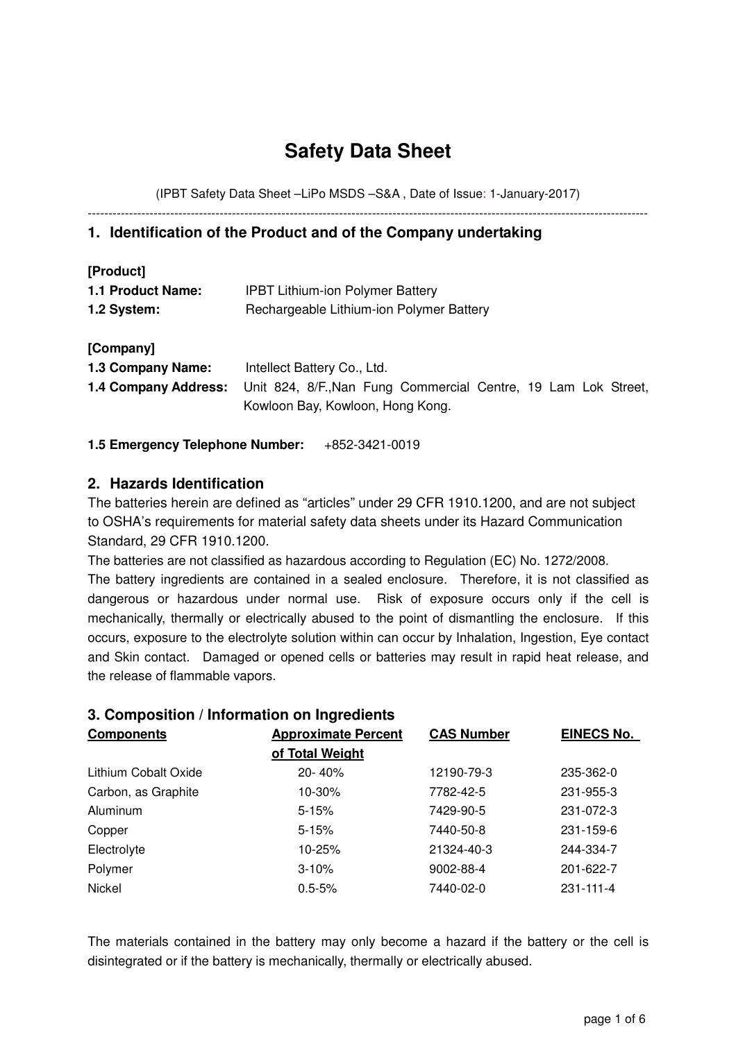# **Safety Data Sheet**

(IPBT Safety Data Sheet –LiPo MSDS –S&A , Date of Issue: 1-January-2017) ----------------------------------------------------------------------------------------------------------------------------------------

# **1. Identification of the Product and of the Company undertaking**

| [Product]                |                                          |  |  |  |
|--------------------------|------------------------------------------|--|--|--|
| <b>1.1 Product Name:</b> | <b>IPBT Lithium-ion Polymer Battery</b>  |  |  |  |
| 1.2 System:              | Rechargeable Lithium-ion Polymer Battery |  |  |  |

| [Company]         |                                                                                     |  |  |  |  |
|-------------------|-------------------------------------------------------------------------------------|--|--|--|--|
| 1.3 Company Name: | Intellect Battery Co., Ltd.                                                         |  |  |  |  |
|                   | 1.4 Company Address: Unit 824, 8/F., Nan Fung Commercial Centre, 19 Lam Lok Street, |  |  |  |  |
|                   | Kowloon Bay, Kowloon, Hong Kong.                                                    |  |  |  |  |

### **1.5 Emergency Telephone Number:** +852-3421-0019

# **2. Hazards Identification**

The batteries herein are defined as "articles" under 29 CFR 1910.1200, and are not subject to OSHA's requirements for material safety data sheets under its Hazard Communication Standard, 29 CFR 1910.1200.

The batteries are not classified as hazardous according to Regulation (EC) No. 1272/2008. The battery ingredients are contained in a sealed enclosure. Therefore, it is not classified as dangerous or hazardous under normal use. Risk of exposure occurs only if the cell is mechanically, thermally or electrically abused to the point of dismantling the enclosure. If this occurs, exposure to the electrolyte solution within can occur by Inhalation, Ingestion, Eye contact and Skin contact. Damaged or opened cells or batteries may result in rapid heat release, and the release of flammable vapors.

### **3. Composition / Information on Ingredients**

| <b>Components</b>    | <b>Approximate Percent</b> | <b>CAS Number</b> | <b>EINECS No.</b> |
|----------------------|----------------------------|-------------------|-------------------|
|                      | of Total Weight            |                   |                   |
| Lithium Cobalt Oxide | 20-40%                     | 12190-79-3        | 235-362-0         |
| Carbon, as Graphite  | 10-30%                     | 7782-42-5         | 231-955-3         |
| Aluminum             | $5 - 15%$                  | 7429-90-5         | 231-072-3         |
| Copper               | $5 - 15%$                  | 7440-50-8         | 231-159-6         |
| Electrolyte          | 10-25%                     | 21324-40-3        | 244-334-7         |
| Polymer              | $3 - 10%$                  | 9002-88-4         | 201-622-7         |
| Nickel               | $0.5 - 5%$                 | 7440-02-0         | 231-111-4         |

The materials contained in the battery may only become a hazard if the battery or the cell is disintegrated or if the battery is mechanically, thermally or electrically abused.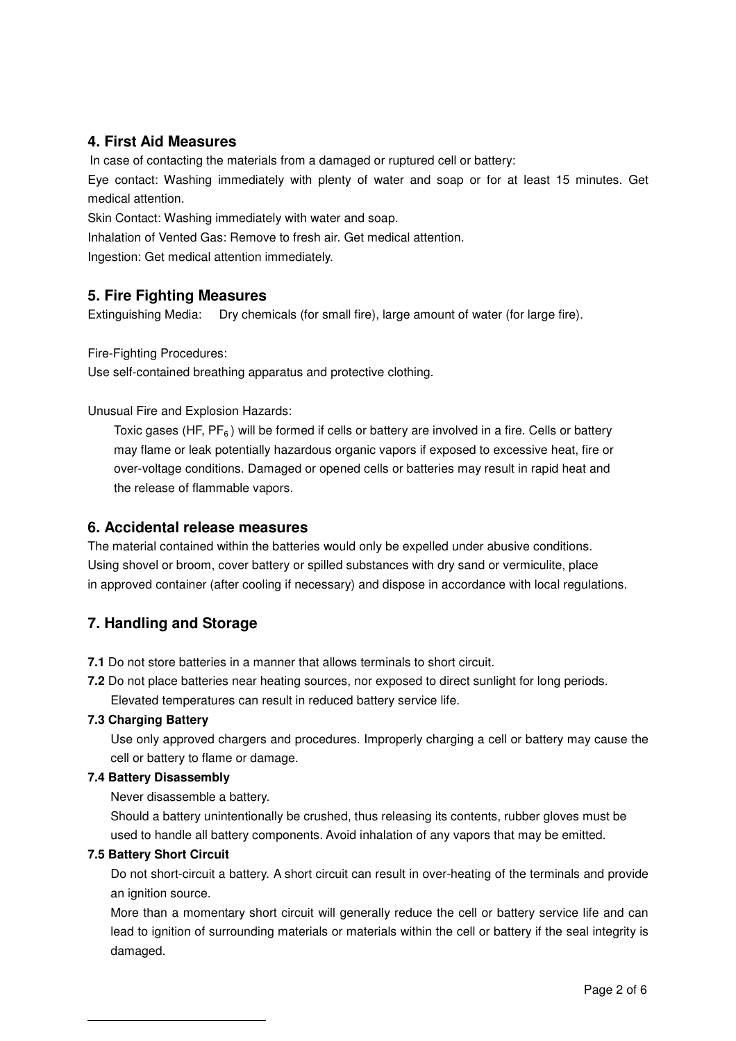# **4. First Aid Measures**

In case of contacting the materials from a damaged or ruptured cell or battery:

Eye contact: Washing immediately with plenty of water and soap or for at least 15 minutes. Get medical attention.

Skin Contact: Washing immediately with water and soap.

Inhalation of Vented Gas: Remove to fresh air. Get medical attention.

Ingestion: Get medical attention immediately.

# **5. Fire Fighting Measures**

Extinguishing Media: Dry chemicals (for small fire), large amount of water (for large fire).

Fire-Fighting Procedures:

Use self-contained breathing apparatus and protective clothing.

Unusual Fire and Explosion Hazards:

Toxic gases (HF,  $PF_6$ ) will be formed if cells or battery are involved in a fire. Cells or battery may flame or leak potentially hazardous organic vapors if exposed to excessive heat, fire or over-voltage conditions. Damaged or opened cells or batteries may result in rapid heat and the release of flammable vapors.

# **6. Accidental release measures**

The material contained within the batteries would only be expelled under abusive conditions. Using shovel or broom, cover battery or spilled substances with dry sand or vermiculite, place in approved container (after cooling if necessary) and dispose in accordance with local regulations.

# **7. Handling and Storage**

**7.1** Do not store batteries in a manner that allows terminals to short circuit.

**7.2** Do not place batteries near heating sources, nor exposed to direct sunlight for long periods. Elevated temperatures can result in reduced battery service life.

### **7.3 Charging Battery**

Use only approved chargers and procedures. Improperly charging a cell or battery may cause the cell or battery to flame or damage.

#### **7.4 Battery Disassembly**

Never disassemble a battery.

Should a battery unintentionally be crushed, thus releasing its contents, rubber gloves must be used to handle all battery components. Avoid inhalation of any vapors that may be emitted.

#### **7.5 Battery Short Circuit**

l

Do not short-circuit a battery. A short circuit can result in over-heating of the terminals and provide an ignition source.

More than a momentary short circuit will generally reduce the cell or battery service life and can lead to ignition of surrounding materials or materials within the cell or battery if the seal integrity is damaged.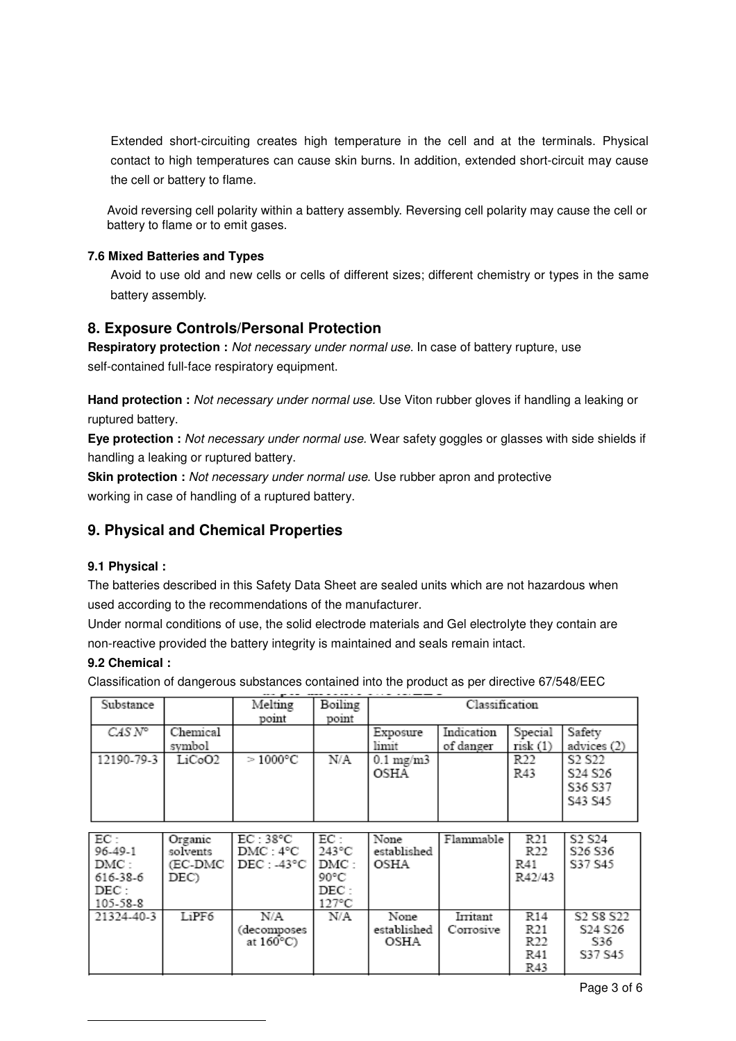Extended short-circuiting creates high temperature in the cell and at the terminals. Physical contact to high temperatures can cause skin burns. In addition, extended short-circuit may cause the cell or battery to flame.

Avoid reversing cell polarity within a battery assembly. Reversing cell polarity may cause the cell or battery to flame or to emit gases.

#### **7.6 Mixed Batteries and Types**

Avoid to use old and new cells or cells of different sizes; different chemistry or types in the same battery assembly.

### **8. Exposure Controls/Personal Protection**

**Respiratory protection :** Not necessary under normal use. In case of battery rupture, use self-contained full-face respiratory equipment.

Hand protection : Not necessary under normal use. Use Viton rubber gloves if handling a leaking or ruptured battery.

**Eye protection :** Not necessary under normal use. Wear safety goggles or glasses with side shields if handling a leaking or ruptured battery.

**Skin protection :** Not necessary under normal use. Use rubber apron and protective working in case of handling of a ruptured battery.

# **9. Physical and Chemical Properties**

#### **9.1 Physical :**

The batteries described in this Safety Data Sheet are sealed units which are not hazardous when used according to the recommendations of the manufacturer.

Under normal conditions of use, the solid electrode materials and Gel electrolyte they contain are non-reactive provided the battery integrity is maintained and seals remain intact.

#### **9.2 Chemical :**

l

Classification of dangerous substances contained into the product as per directive 67/548/EEC

| Substance      |                    | Melting           | Boiling | Classification             |                         |                        |                                                                 |
|----------------|--------------------|-------------------|---------|----------------------------|-------------------------|------------------------|-----------------------------------------------------------------|
| $CASN^{\circ}$ | Chemical<br>symbol | point             | point   | Exposure<br>limit          | Indication<br>of danger | Special<br>risk(1)     | Safety<br>advices (2)                                           |
| 12190-79-3     | LiCoO2             | $>1000^{\circ}$ C | N/A     | $0.1 \text{ mg/m}$<br>OSHA |                         | R <sub>22</sub><br>R43 | S <sub>2</sub> S <sub>22</sub><br>S24 S26<br>S36 S37<br>S43 S45 |
|                |                    |                   |         |                            |                         |                        |                                                                 |

| EC:        | Organic  | EC:38°C             | EC:             | None        | Flammable | R <sub>21</sub> | S <sub>2</sub> S <sub>24</sub>                |
|------------|----------|---------------------|-----------------|-------------|-----------|-----------------|-----------------------------------------------|
| 96-49-1    | solvents | DMC:4°C             | 243°C           | established |           | R <sub>22</sub> | S <sub>26</sub> S <sub>36</sub>               |
| DMC:       | (EC-DMC  | DEC: .43°C          | I DMC :         | OSHA        |           | R41             | S37 S45                                       |
| 616-38-6   | DEC)     |                     | 90°C            |             |           | R42/43          |                                               |
| DEC :      |          |                     | DEC:            |             |           |                 |                                               |
| 105-58-8   |          |                     | $127^{\circ}$ C |             |           |                 |                                               |
| 21324-40-3 | LiPF6    | N/A                 | N/A             | None        | Irritant  | R <sub>14</sub> | S <sub>2</sub> S <sub>8</sub> S <sub>22</sub> |
|            |          | decomposes          |                 | established | Corrosive | R21             | S <sub>24</sub> S <sub>26</sub>               |
|            |          | at $160^{\circ}$ C) |                 | OSHA        |           | R22             | S36                                           |
|            |          |                     |                 |             |           | R41             | S37 S45                                       |
|            |          |                     |                 |             |           | R43             |                                               |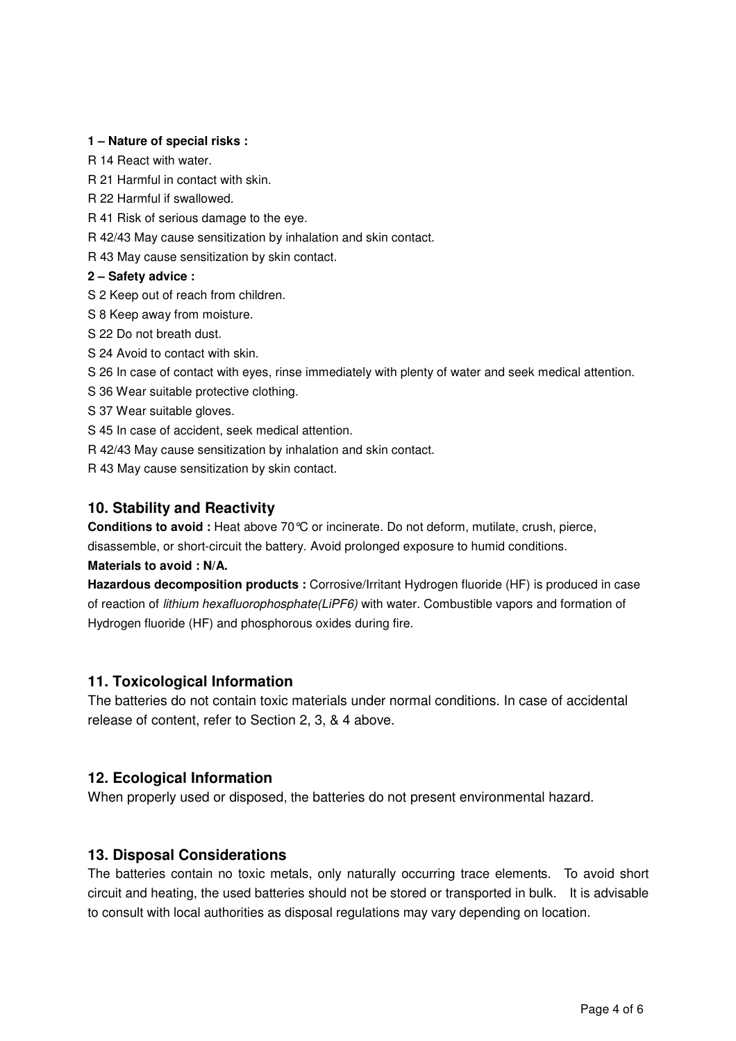#### **1 – Nature of special risks :**

R 14 React with water.

R 21 Harmful in contact with skin.

- R 22 Harmful if swallowed.
- R 41 Risk of serious damage to the eye.
- R 42/43 May cause sensitization by inhalation and skin contact.

R 43 May cause sensitization by skin contact.

#### **2 – Safety advice :**

- S 2 Keep out of reach from children.
- S 8 Keep away from moisture.
- S 22 Do not breath dust.
- S 24 Avoid to contact with skin.

S 26 In case of contact with eyes, rinse immediately with plenty of water and seek medical attention.

- S 36 Wear suitable protective clothing.
- S 37 Wear suitable gloves.
- S 45 In case of accident, seek medical attention.
- R 42/43 May cause sensitization by inhalation and skin contact.

R 43 May cause sensitization by skin contact.

### **10. Stability and Reactivity**

**Conditions to avoid :** Heat above 70°C or incinerate. Do not deform, mutilate, crush, pierce, disassemble, or short-circuit the battery. Avoid prolonged exposure to humid conditions.

#### **Materials to avoid : N/A.**

**Hazardous decomposition products :** Corrosive/Irritant Hydrogen fluoride (HF) is produced in case of reaction of lithium hexafluorophosphate(LiPF6) with water. Combustible vapors and formation of Hydrogen fluoride (HF) and phosphorous oxides during fire.

### **11. Toxicological Information**

The batteries do not contain toxic materials under normal conditions. In case of accidental release of content, refer to Section 2, 3, & 4 above.

# **12. Ecological Information**

When properly used or disposed, the batteries do not present environmental hazard.

# **13. Disposal Considerations**

The batteries contain no toxic metals, only naturally occurring trace elements. To avoid short circuit and heating, the used batteries should not be stored or transported in bulk. It is advisable to consult with local authorities as disposal regulations may vary depending on location.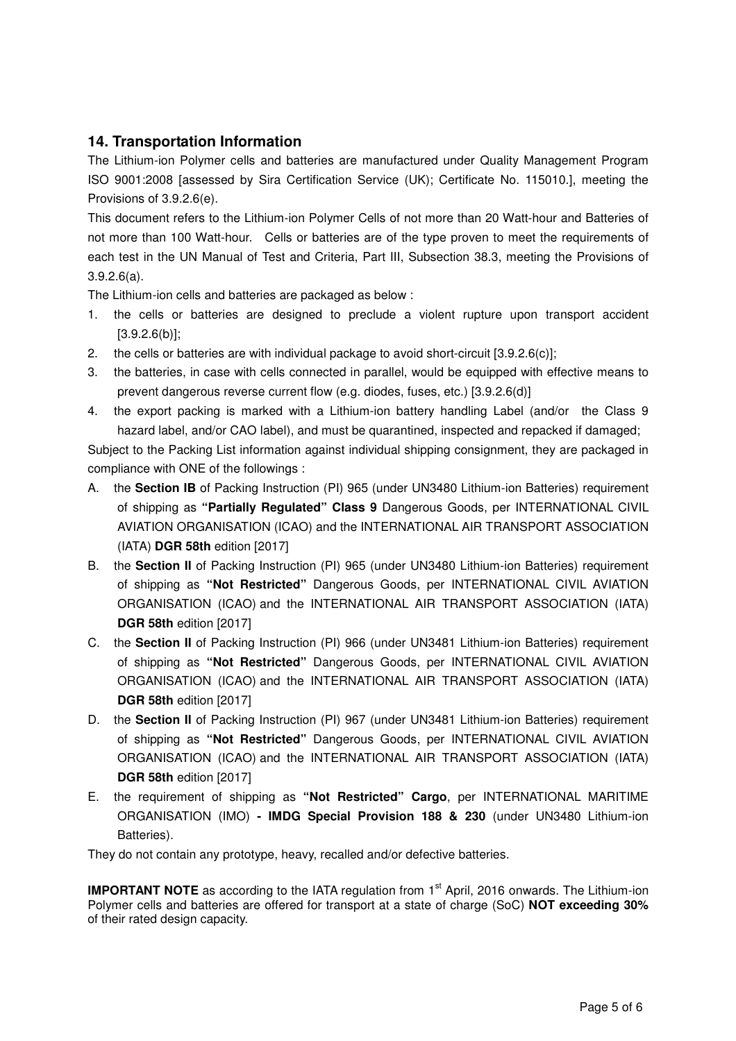# **14. Transportation Information**

The Lithium-ion Polymer cells and batteries are manufactured under Quality Management Program ISO 9001:2008 [assessed by Sira Certification Service (UK); Certificate No. 115010.], meeting the Provisions of 3.9.2.6(e).

This document refers to the Lithium-ion Polymer Cells of not more than 20 Watt-hour and Batteries of not more than 100 Watt-hour. Cells or batteries are of the type proven to meet the requirements of each test in the UN Manual of Test and Criteria, Part III, Subsection 38.3, meeting the Provisions of 3.9.2.6(a).

The Lithium-ion cells and batteries are packaged as below :

- 1. the cells or batteries are designed to preclude a violent rupture upon transport accident [3.9.2.6(b)];
- 2. the cells or batteries are with individual package to avoid short-circuit [3.9.2.6(c)];
- 3. the batteries, in case with cells connected in parallel, would be equipped with effective means to prevent dangerous reverse current flow (e.g. diodes, fuses, etc.) [3.9.2.6(d)]
- 4. the export packing is marked with a Lithium-ion battery handling Label (and/or the Class 9 hazard label, and/or CAO label), and must be quarantined, inspected and repacked if damaged;

Subject to the Packing List information against individual shipping consignment, they are packaged in compliance with ONE of the followings :

- A. the **Section IB** of Packing Instruction (PI) 965 (under UN3480 Lithium-ion Batteries) requirement of shipping as **"Partially Regulated" Class 9** Dangerous Goods, per INTERNATIONAL CIVIL AVIATION ORGANISATION (ICAO) and the INTERNATIONAL AIR TRANSPORT ASSOCIATION (IATA) **DGR 58th** edition [2017]
- B. the **Section II** of Packing Instruction (PI) 965 (under UN3480 Lithium-ion Batteries) requirement of shipping as **"Not Restricted"** Dangerous Goods, per INTERNATIONAL CIVIL AVIATION ORGANISATION (ICAO) and the INTERNATIONAL AIR TRANSPORT ASSOCIATION (IATA) **DGR 58th** edition [2017]
- C. the **Section II** of Packing Instruction (PI) 966 (under UN3481 Lithium-ion Batteries) requirement of shipping as **"Not Restricted"** Dangerous Goods, per INTERNATIONAL CIVIL AVIATION ORGANISATION (ICAO) and the INTERNATIONAL AIR TRANSPORT ASSOCIATION (IATA) **DGR 58th** edition [2017]
- D. the **Section II** of Packing Instruction (PI) 967 (under UN3481 Lithium-ion Batteries) requirement of shipping as **"Not Restricted"** Dangerous Goods, per INTERNATIONAL CIVIL AVIATION ORGANISATION (ICAO) and the INTERNATIONAL AIR TRANSPORT ASSOCIATION (IATA) **DGR 58th** edition [2017]
- E. the requirement of shipping as **"Not Restricted" Cargo**, per INTERNATIONAL MARITIME ORGANISATION (IMO) **- IMDG Special Provision 188 & 230** (under UN3480 Lithium-ion Batteries).

They do not contain any prototype, heavy, recalled and/or defective batteries.

**IMPORTANT NOTE** as according to the IATA regulation from 1<sup>st</sup> April, 2016 onwards. The Lithium-ion Polymer cells and batteries are offered for transport at a state of charge (SoC) **NOT exceeding 30%** of their rated design capacity.